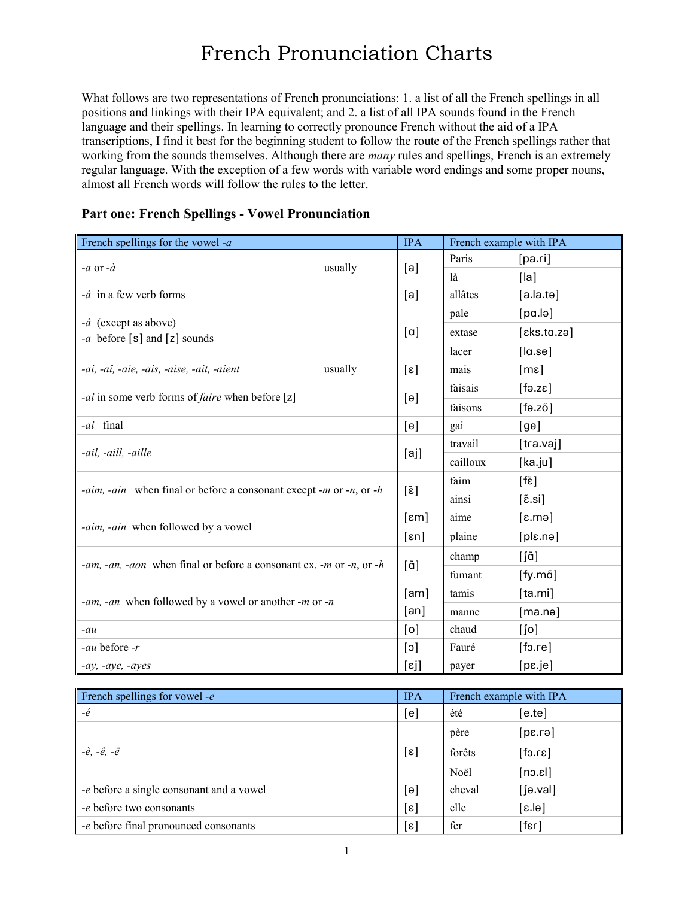## French Pronunciation Charts

What follows are two representations of French pronunciations: 1. a list of all the French spellings in all positions and linkings with their IPA equivalent; and 2. a list of all IPA sounds found in the French language and their spellings. In learning to correctly pronounce French without the aid of a IPA transcriptions, I find it best for the beginning student to follow the route of the French spellings rather that working from the sounds themselves. Although there are *many* rules and spellings, French is an extremely regular language. With the exception of a few words with variable word endings and some proper nouns, almost all French words will follow the rules to the letter.

## **Part one: French Spellings - Vowel Pronunciation**

| French spellings for the vowel - $a$                                                            | <b>IPA</b>        |          | French example with IPA  |
|-------------------------------------------------------------------------------------------------|-------------------|----------|--------------------------|
|                                                                                                 |                   | Paris    | [pa.ri]                  |
| usually<br>-a or -à                                                                             | [a]               | là       | [ a]                     |
| $-\hat{a}$ in a few verb forms                                                                  | [a]               | allâtes  | $[a, la, t \theta]$      |
|                                                                                                 |                   | pale     | [pa.lə]                  |
| $-\hat{a}$ (except as above)<br>-a before [s] and [z] sounds                                    | $\lceil a \rceil$ | extase   | [eks.ta.ze]              |
|                                                                                                 |                   | lacer    | [ a.se]                  |
| usually<br>-ai, -aî, -aie, -ais, -aise, -ait, -aient                                            | $[\epsilon]$      | mais     | [me]                     |
|                                                                                                 |                   | faisais  | [13.5]                   |
| - <i>ai</i> in some verb forms of <i>faire</i> when before [z]                                  | [e]               | faisons  | [fa.zõ]                  |
| -ai final                                                                                       | [e]               | gai      | [ge]                     |
|                                                                                                 |                   | travail  | $[$ tra.vaj]             |
| -ail, -aill, -aille                                                                             | [aj]              | cailloux | [ka.ju]                  |
|                                                                                                 |                   | faim     | [fɛ̃]                    |
| <i>-aim, -ain</i> when final or before a consonant except <i>-m</i> or <i>-n</i> , or <i>-h</i> | [ɛ̃]              | ainsi    | $[\tilde{\epsilon}$ .si] |
|                                                                                                 | $[\epsilon m]$    | aime     | $[\varepsilon.mə]$       |
| -aim, -ain when followed by a vowel                                                             | $[\epsilon n]$    | plaine   | [ple.nə]                 |
|                                                                                                 |                   | champ    | [ʃã]                     |
| -am, -an, -aon when final or before a consonant ex. -m or -n, or -h                             | $[\tilde{a}]$     | fumant   | $[$ fy.m $\tilde{a}$ ]   |
|                                                                                                 | [am]              | tamis    | [ta.mi]                  |
| -am, -an when followed by a vowel or another -m or -n                                           | [an]              | manne    | [ma.nə]                  |
| $-au$                                                                                           | [o]               | chaud    | $[$ [0]                  |
| -au before -r                                                                                   | $[\circ]$         | Fauré    | [for]                    |
| $-ay$ , $-aye$ , $-ayes$                                                                        | [ɛj]              | payer    | [pe,je]                  |

| French spellings for vowel - $e$         | <b>IPA</b>   | French example with IPA |              |
|------------------------------------------|--------------|-------------------------|--------------|
| $-\dot{e}$                               | [e]          | été                     | $[$ e.te $]$ |
| $[\epsilon]$<br>-è, -ê, -ë               |              | père                    | [6.30]       |
|                                          |              | forêts                  | $[s_1,c_2]$  |
|                                          |              | Noël                    | [lnc.        |
| -e before a single consonant and a vowel | [e]          | cheval                  | $[$ [9.val]  |
| -e before two consonants                 | $[\epsilon]$ | elle                    | [el.s]       |
| -e before final pronounced consonants    | $[\epsilon]$ | fer                     | [13]         |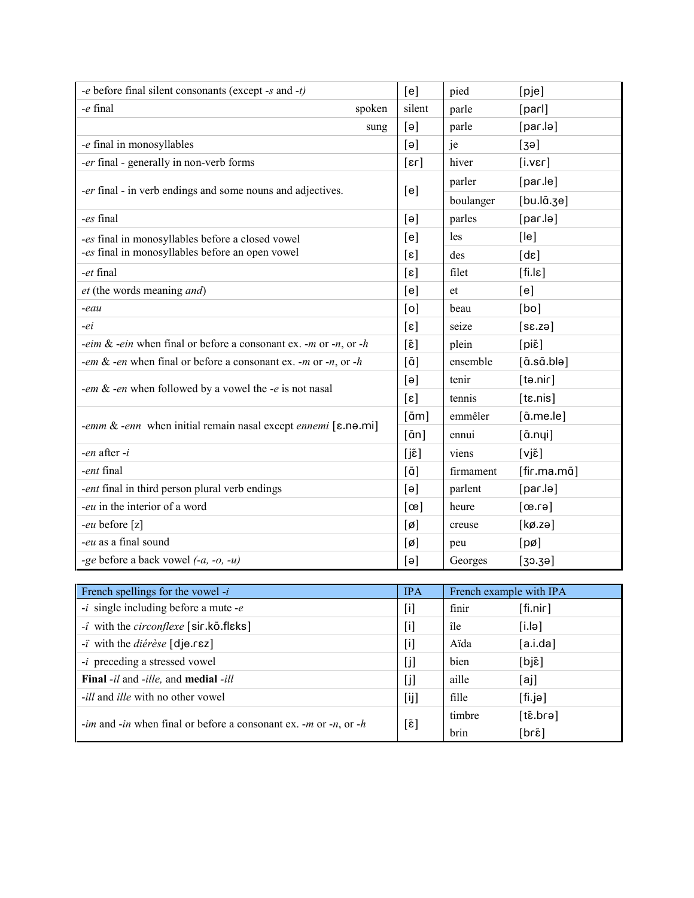| -e before final silent consonants (except -s and -t)                    |                           | pied      | [pje]                        |
|-------------------------------------------------------------------------|---------------------------|-----------|------------------------------|
| -e final<br>spoken                                                      | silent                    | parle     | [parl]                       |
| sung                                                                    | $\lceil e \rceil$         | parle     | [par.lə]                     |
| -e final in monosyllables                                               | [e]                       | je        | [3e]                         |
| -er final - generally in non-verb forms                                 | $\lceil \text{ar} \rceil$ | hiver     | [i.ver]                      |
| -er final - in verb endings and some nouns and adjectives.              | [e]                       | parler    | [par le]                     |
|                                                                         |                           | boulanger | $[bu.l\tilde{a}.3e]$         |
| -es final                                                               | [e]                       | parles    | [par.lə]                     |
| -es final in monosyllables before a closed vowel                        | [e]                       | les       | [le]                         |
| -es final in monosyllables before an open vowel                         | $[\epsilon]$              | des       | $[d\varepsilon]$             |
| -et final                                                               | $[\epsilon]$              | filet     | $[fi.l\varepsilon]$          |
| et (the words meaning and)                                              | [e]                       | et        | [e]                          |
| -eau                                                                    | [o]                       | beau      | [bo]                         |
| -ei                                                                     | $[\epsilon]$              | seize     | $[sz.$ zə]                   |
| -eim & -ein when final or before a consonant ex. -m or -n, or -h        | $[\tilde{\epsilon}]$      | plein     | $[pi\tilde{\epsilon}]$       |
| -em & -en when final or before a consonant ex. -m or -n, or -h          | $[\tilde{a}]$             | ensemble  | $[\tilde{a}.\tilde{sa}.blə]$ |
| -em & -en when followed by a vowel the -e is not nasal                  | [e]                       | tenir     | $[$ tə.nir $]$               |
|                                                                         | $[\epsilon]$              | tennis    | [ts.nis]                     |
|                                                                         | $[\tilde{a}m]$            | emmêler   | $[\tilde{a}$ .me.le]         |
| -emm & -enn when initial remain nasal except ennemi $[\epsilon$ .no.mi] | $[\tilde{a}n]$            | ennui     | $[\tilde{a}.nyi]$            |
| -en after $-i$                                                          | $[i\tilde{\epsilon}]$     | viens     | $[vj\tilde{\epsilon}]$       |
| -ent final                                                              | $[\tilde{a}]$             | firmament | [fir.ma.mã]                  |
| -ent final in third person plural verb endings                          | [e]                       | parlent   | [par.lə]                     |
| -eu in the interior of a word                                           | $[\infty]$                | heure     | [61.50]                      |
| -eu before [z]                                                          | $[\emptyset]$             | creuse    | $[k\emptyset$ .zə]           |
| -eu as a final sound                                                    |                           | peu       | $[p\emptyset]$               |
| -ge before a back vowel $(-a, -b, -u)$                                  | [e]                       | Georges   | [30.39]                      |

| French spellings for the vowel $-i$                                                                  | <b>IPA</b> | French example with IPA |           |
|------------------------------------------------------------------------------------------------------|------------|-------------------------|-----------|
| $-i$ single including before a mute $-e$                                                             | [i]        | finir                   | [fin.nir] |
| $-i$ with the <i>circonflexe</i> [sir.kõ.flɛks]                                                      | [i]        | île                     | [i.lə]    |
| $-i$ with the <i>diérèse</i> [dje.rez]                                                               | $[$        | Aïda                    | [a.i.da]  |
| <i>-i</i> preceding a stressed vowel                                                                 | [i]        | bien                    | [bjɛ̃]    |
| Final -il and -ille, and medial -ill                                                                 | [i]        | aille                   | [aj]      |
| <i>-ill</i> and <i>ille</i> with no other vowel                                                      | [ij]       | fille                   | [fi.jə]   |
| <i>-im</i> and <i>-in</i> when final or before a consonant ex. <i>-m</i> or <i>-n</i> , or <i>-h</i> |            | timbre                  | [tɛ̃.brə] |
|                                                                                                      | [ɛ̃]       | brin                    | [brɛ̃]    |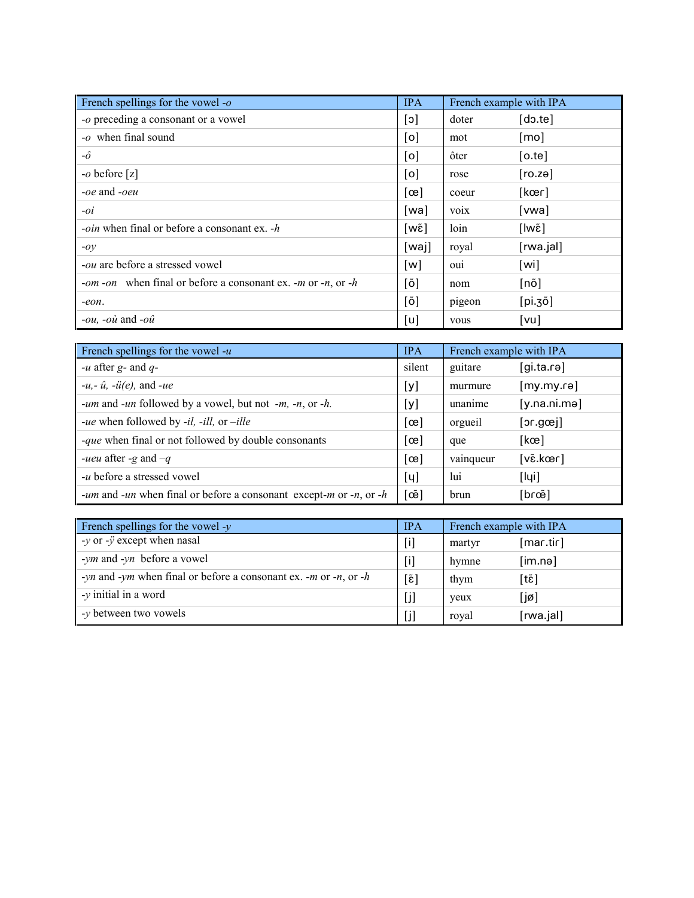| French spellings for the vowel - $o$                                                                  | <b>IPA</b> | French example with IPA |                              |
|-------------------------------------------------------------------------------------------------------|------------|-------------------------|------------------------------|
| -o preceding a consonant or a vowel                                                                   | [c]        | doter                   | $\lceil \text{do.te} \rceil$ |
| -o when final sound                                                                                   | [o]        | mot                     | $\lceil \text{mo} \rceil$    |
| $-\hat{o}$                                                                                            | [0]        | ôter                    | [o, <sub>te</sub> ]          |
| $-o$ before [z]                                                                                       | [o]        | rose                    | [ro.za]                      |
| <i>-oe</i> and <i>-oeu</i>                                                                            | $[\infty]$ | coeur                   | [kœr]                        |
| $-oi$                                                                                                 | [wa]       | <b>VO1X</b>             | [vwa]                        |
| <i>oin</i> when final or before a consonant ex. -h                                                    | [wɛ̃]      | loin                    | [lwɛ̃]                       |
| $-oy$                                                                                                 | [wa]       | royal                   | [rwa.jal]                    |
| <i>-ou</i> are before a stressed vowel                                                                | [w]        | ou <sub>1</sub>         | [wi]                         |
| - <i>om</i> - <i>on</i> when final or before a consonant ex. - <i>m</i> or - <i>n</i> , or - <i>h</i> | [õ]        | nom                     | [nõ]                         |
| $-eon.$                                                                                               | [õ]        | pigeon                  | [pi.30]                      |
| <i>-ou</i> , $-o\hat{u}$ and $-o\hat{u}$                                                              | [u]        | vous                    | [vu]                         |

| French spellings for the vowel $-u$                                | <b>IPA</b>         | French example with IPA |                                         |
|--------------------------------------------------------------------|--------------------|-------------------------|-----------------------------------------|
| -u after $g$ - and $q$ -                                           | silent             | guitare                 | $[g$ i.ta.rə $]$                        |
| $-u, -\hat{u}, -\hat{u}(e)$ , and $-ue$                            | [y]                | murmure                 | [my.my.rə]                              |
| -um and -un followed by a vowel, but not -m, -n, or -h.            | [y]                | unanime                 | [y,na,ni,me]                            |
| -ue when followed by -il, -ill, or -ille                           | $[\infty]$         | orgueil                 | [org. 10]                               |
| <i>-que</i> when final or not followed by double consonants        | $[\infty]$         | que                     | [kce]                                   |
| <i>-ueu</i> after -g and $-q$                                      | $[\infty]$         | vainqueur               | $[v\tilde{\epsilon}.k\tilde{\epsilon}]$ |
| - <i>u</i> before a stressed vowel                                 | [y]                | lui                     | $[I$ ųi]                                |
| -um and -un when final or before a consonant except-m or -n, or -h | $[\tilde{\infty}]$ | brun                    | [brœ̃]                                  |

| French spellings for the vowel - $y$                                                                      | <b>IPA</b>           | French example with IPA |           |
|-----------------------------------------------------------------------------------------------------------|----------------------|-------------------------|-----------|
| $-y$ or $-y$ except when nasal                                                                            | [i]                  | martyr                  | [mar.tir] |
| -ym and -yn before a vowel                                                                                | $[1]$                | hymne                   | [im.nə]   |
| - <i>yn</i> and - <i>ym</i> when final or before a consonant ex. - <i>m</i> or - <i>n</i> , or - <i>h</i> | $[\tilde{\epsilon}]$ | thym                    | [tɛ̃]     |
| $-y$ initial in a word                                                                                    | [i]                  | yeux                    | [jø]      |
| - <i>y</i> between two vowels                                                                             | [i]                  | royal                   | [rwa.jal] |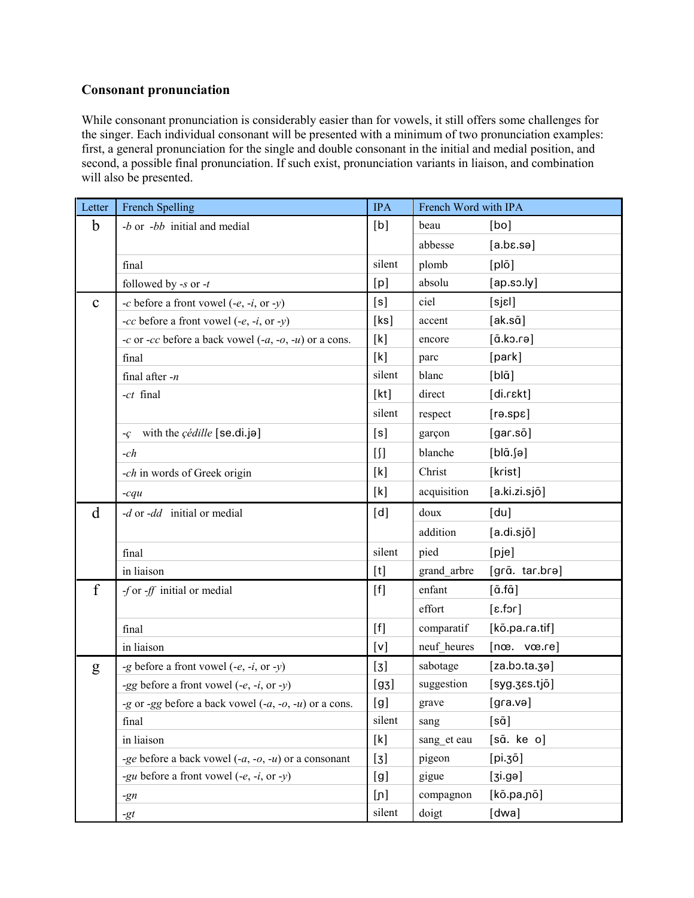## **Consonant pronunciation**

While consonant pronunciation is considerably easier than for vowels, it still offers some challenges for the singer. Each individual consonant will be presented with a minimum of two pronunciation examples: first, a general pronunciation for the single and double consonant in the initial and medial position, and second, a possible final pronunciation. If such exist, pronunciation variants in liaison, and combination will also be presented.

| Letter      | French Spelling                                         | <b>IPA</b> | French Word with IPA |                                          |
|-------------|---------------------------------------------------------|------------|----------------------|------------------------------------------|
| $\mathbf b$ | $-b$ or $-bb$ initial and medial                        | [b]        | beau                 | [bo]                                     |
|             |                                                         |            | abbesse              | $[a.bc.se]$                              |
|             | final                                                   | silent     | plomb                | $[pl\tilde{o}]$                          |
|             | followed by -s or -t                                    | [p]        | absolu               | [ap.so.                                  |
| $\mathbf C$ | -c before a front vowel $(-e, -i, \text{ or } -y)$      | [s]        | ciel                 | [sjel]                                   |
|             | -cc before a front vowel $(-e, -i, \text{ or } -y)$     | [ks]       | accent               | $[ak.s\tilde{a}]$                        |
|             | -c or -cc before a back vowel $(-a, -a, -u)$ or a cons. | [k]        | encore               | [ā.ko.rə]                                |
|             | final                                                   | [k]        | parc                 | [park]                                   |
|             | final after $-n$                                        | silent     | blanc                | $[b \tilde{\alpha}]$                     |
|             | -ct final                                               | [kt]       | direct               | [di.rɛkt]                                |
|             |                                                         | silent     | respect              | [resp.]                                  |
|             | with the <i>çédille</i> [se.di.jə]<br>-Ç                | [s]        | garçon               | $[gar.s\~o]$                             |
|             | $-ch$                                                   | $[]$       | blanche              | $[bI\tilde{a}.e]$                        |
|             | -ch in words of Greek origin                            | [k]        | Christ               | [krist]                                  |
|             | $-cqu$                                                  | [k]        | acquisition          | [a.ki.zi.sjõ]                            |
| d           | -d or -dd initial or medial                             | [d]        | doux                 | [du]                                     |
|             |                                                         |            | addition             | [a.di.sjõ]                               |
|             | final                                                   | silent     | pied                 | [pje]                                    |
|             | in liaison                                              | [t]        | grand_arbre          | [grã. tar.brə]                           |
| f           | -f or -ff initial or medial                             | $[f]$      | enfant               | $[\tilde{a}.f\tilde{a}]$                 |
|             |                                                         |            | effort               | [1c.f.3]                                 |
|             | final                                                   | $[f]$      | comparatif           | [kõ.pa.ra.tif]                           |
|             | in liaison                                              | [v]        | neuf heures          | $[n\infty, \text{vec} \cdot \text{ref}]$ |
| g           | -g before a front vowel $(-e, -i, \text{ or } -y)$      | $[3]$      | sabotage             | [za.bo.ta.ge]                            |
|             | -gg before a front vowel $(-e, -i, \text{ or } -y)$     | [g3]       | suggestion           | [syg.ges.tjõ]                            |
|             | -g or -gg before a back vowel $(-a, -b, -u)$ or a cons. | [g]        | grave                | [gra.və]                                 |
|             | final                                                   | silent     | sang                 | [sã]                                     |
|             | in liaison                                              | [k]        | sang_et eau          | [sã. ke o]                               |
|             | -ge before a back vowel $(-a, -b, -u)$ or a consonant   | $[3]$      | pigeon               | [pi.30]                                  |
|             | -gu before a front vowel $(-e, -i, or -y)$              | [g]        | gigue                | [si.9e]                                  |
|             | $-gn$                                                   | [n]        | compagnon            | [kõ.pa.nõ]                               |
|             | -gt                                                     | silent     | doigt                | [dwa]                                    |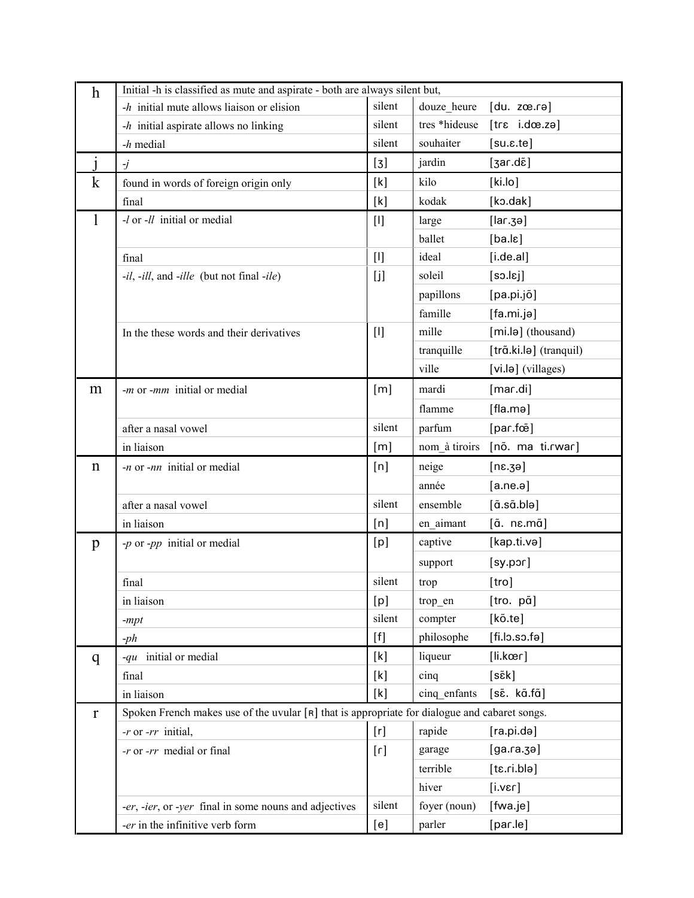| $\boldsymbol{h}$ | Initial -h is classified as mute and aspirate - both are always silent but,                     |                              |               |                                                 |  |
|------------------|-------------------------------------------------------------------------------------------------|------------------------------|---------------|-------------------------------------------------|--|
|                  | $-h$ initial mute allows liaison or elision                                                     | silent                       | douze heure   | [du. zæ.rə]                                     |  |
|                  | $-h$ initial aspirate allows no linking                                                         | silent                       | tres *hideuse | $[tr\epsilon$ i.dœ.zə]                          |  |
|                  | $-h$ medial                                                                                     | silent                       | souhaiter     | [su.s.te]                                       |  |
|                  | $\overline{J}$                                                                                  | $[3]$                        | jardin        | $[3ar.d\tilde{\epsilon}]$                       |  |
| $\mathbf{k}$     | found in words of foreign origin only                                                           | [k]                          | kilo          | [ki.lo]                                         |  |
|                  | final                                                                                           | [k]                          | kodak         | [kɔ.dak]                                        |  |
| $\mathbf{l}$     | $-l$ or $-ll$ initial or medial                                                                 | $[1]$                        | large         | $[lar.\mathsf{3}a]$                             |  |
|                  |                                                                                                 |                              | ballet        | [ba.lc]                                         |  |
|                  | final                                                                                           | $[1]$                        | ideal         | [i.de.al]                                       |  |
|                  | -il, -ill, and -ille (but not final -ile)                                                       | [i]                          | soleil        | $[$ so.l $\varepsilon$ j                        |  |
|                  |                                                                                                 |                              | papillons     | [pa.pi.jõ]                                      |  |
|                  |                                                                                                 |                              | famille       | [fa.mi.jə]                                      |  |
|                  | In the these words and their derivatives                                                        | $[1]$                        | mille         | [mi.lə] (thousand)                              |  |
|                  |                                                                                                 |                              | tranquille    | [trã.ki.lə] (tranquil)                          |  |
|                  |                                                                                                 |                              | ville         | [vi.lə] (villages)                              |  |
| m                | - <i>m</i> or - <i>mm</i> initial or medial                                                     | [m]                          | mardi         | [mar.di]                                        |  |
|                  |                                                                                                 |                              | flamme        | [fla.mə]                                        |  |
|                  | after a nasal vowel                                                                             | silent                       | parfum        | [par.fœ̃]                                       |  |
|                  | in liaison                                                                                      | [m]                          | nom_à tiroirs | [nõ. ma ti.rwar]                                |  |
| $\mathbf n$      | $-n$ or $-nn$ initial or medial                                                                 | [n]                          | neige         | [ne.3e]                                         |  |
|                  |                                                                                                 |                              | année         | [a.ne.ə]                                        |  |
|                  | after a nasal vowel                                                                             | silent                       | ensemble      | $[\tilde{a}.\tilde{s}\tilde{a}.\tilde{b}$ lə]   |  |
|                  | in liaison                                                                                      | [n]                          | en aimant     | $[\tilde{a}$ . n $\varepsilon$ .m $\tilde{a}$ ] |  |
| $\mathbf{p}$     | $-p$ or $-pp$ initial or medial                                                                 | [p]                          | captive       | [kap.ti.və]                                     |  |
|                  |                                                                                                 |                              | support       | $[sy.p$ or]                                     |  |
|                  | final                                                                                           | silent                       | trop          | [tro]                                           |  |
|                  | in liaison                                                                                      | [p]                          | trop en       | [tro. pã]                                       |  |
|                  | $-mpt$                                                                                          | silent                       | compter       | $[k\tilde{o}.te]$                               |  |
|                  | $-ph$                                                                                           | [f]                          | philosophe    | [fi.lo.so.fe]                                   |  |
| q                | -qu initial or medial                                                                           | [k]                          | liqueur       | $[$ li.kœr]                                     |  |
|                  | final                                                                                           | [k]                          | $c$ inq       | [sɛ̃k]                                          |  |
|                  | in liaison                                                                                      | [k]                          | cinq enfants  | [sɛ̃. kɑ̃.fɑ̃]                                  |  |
| $\mathbf{r}$     | Spoken French makes use of the uvular $[R]$ that is appropriate for dialogue and cabaret songs. |                              |               |                                                 |  |
|                  | $-r$ or $-rr$ initial,                                                                          | [r]                          | rapide        | [ra.pi.də]                                      |  |
|                  | $-r$ or $-rr$ medial or final                                                                   | $\lbrack \mathsf{r} \rbrack$ | garage        | [ga, ra, zo]                                    |  |
|                  |                                                                                                 |                              | terrible      | [tɛ.ri.blə]                                     |  |
|                  |                                                                                                 |                              | hiver         | [i.ver]                                         |  |
|                  | -er, -ier, or -yer final in some nouns and adjectives                                           | silent                       | foyer (noun)  | [fwa.je]                                        |  |
|                  | -er in the infinitive verb form                                                                 | [e]                          | parler        | [par.le]                                        |  |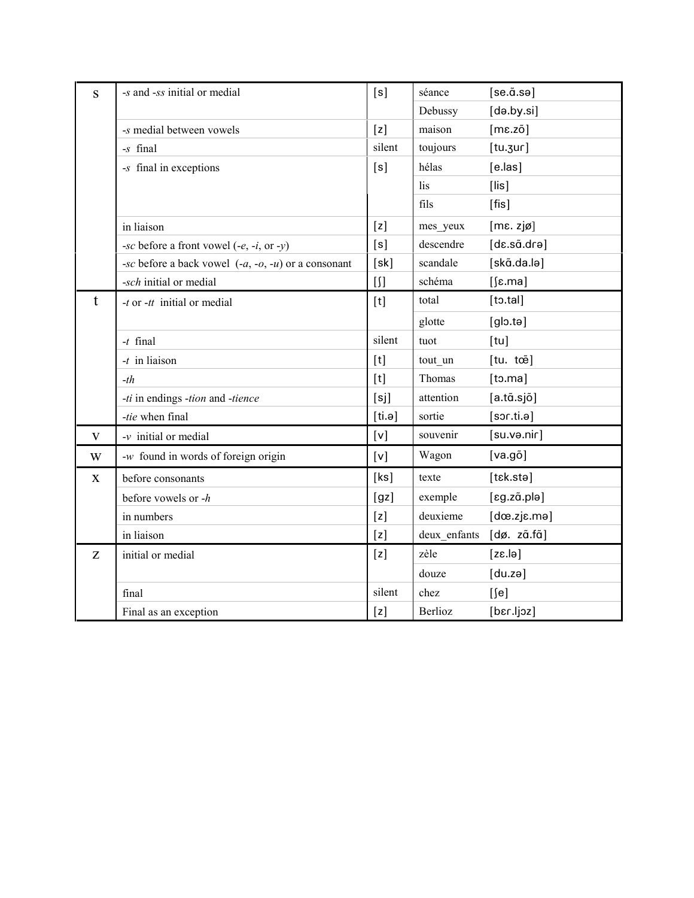| S           | -s and -ss initial or medial                          | [s]     | séance       | $[se.\tilde{a}.se]$    |
|-------------|-------------------------------------------------------|---------|--------------|------------------------|
|             |                                                       |         | Debussy      | [də.by.si]             |
|             | -s medial between vowels                              | [z]     | maison       | $[me.z\~o]$            |
|             | -s final                                              | silent  | toujours     | [tu.3ur]               |
|             | -s final in exceptions                                | [s]     | hélas        | $[e \cdot \text{las}]$ |
|             |                                                       |         | lis          | $[$ lis $]$            |
|             |                                                       |         | fils         | $[$ fis $]$            |
|             | in liaison                                            | [z]     | mes_yeux     | [ME. zjø]              |
|             | -sc before a front vowel $(-e, -i, \text{ or } -y)$   | [s]     | descendre    | [dɛ.sɑ̃.drə]           |
|             | -sc before a back vowel $(-a, -b, -u)$ or a consonant | [sk]    | scandale     | [skã.da.lə]            |
|             | -sch initial or medial                                | $[ \ ]$ | schéma       | $[$ [ε.ma]             |
| t           | $-t$ or $-tt$ initial or medial                       | [t]     | total        | [t <sub>0</sub> .tal]  |
|             |                                                       |         | glotte       | [glo.te]               |
|             | $-t$ final                                            | silent  | tuot         | [tu]                   |
|             | $-t$ in liaison                                       | [t]     | tout_un      | [tu. tœ̃]              |
|             | $-th$                                                 | [t]     | Thomas       | [t <sub>0</sub> .ma]   |
|             | -ti in endings -tion and -tience                      | [sj]    | attention    | [a.ta.sjõ]             |
|             | -tie when final                                       | [ti.e]  | sortie       | [sort.in. e]           |
| V           | $-v$ initial or medial                                | [v]     | souvenir     | [su.və.nir]            |
| W           | -w found in words of foreign origin                   | [v]     | Wagon        | [va.go]                |
| $\mathbf X$ | before consonants                                     | [ks]    | texte        | [tɛk.stə]              |
|             | before vowels or -h                                   | [gz]    | exemple      | [eg.zã.pla]            |
|             | in numbers                                            | [z]     | deuxieme     | $[d\infty.zj\in.m\in]$ |
|             | in liaison                                            | [z]     | deux enfants | [dø. zã.fã]            |
| Z           | initial or medial                                     | [z]     | zèle         | [els.3]                |
|             |                                                       |         | douze        | [du.zə]                |
|             | final                                                 | silent  | chez         | $[$ [e]                |
|             | Final as an exception                                 | [z]     | Berlioz      | [bɛr.ljoz]             |